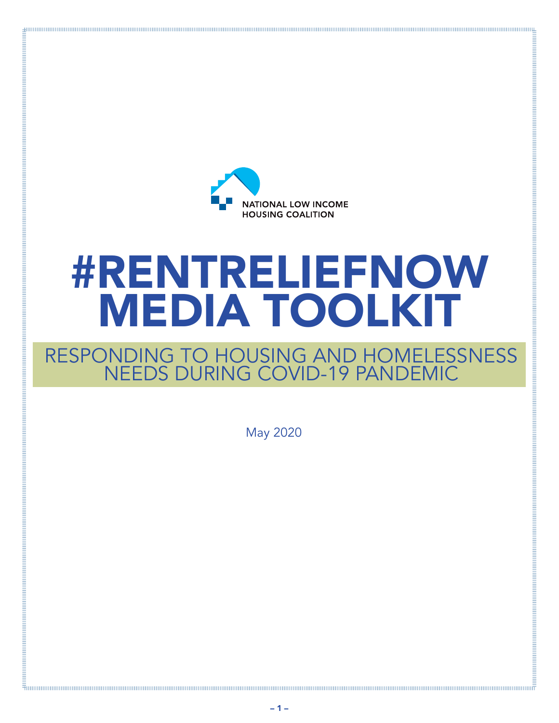

# **#RENTRELIEFNOW<br>MEDIA TOOLKIT**

# RESPONDING TO HOUSING AND HOMELESSNESS<br>NEEDS DURING COVID-19 PANDEMIC

**May 2020** 

 $-1-$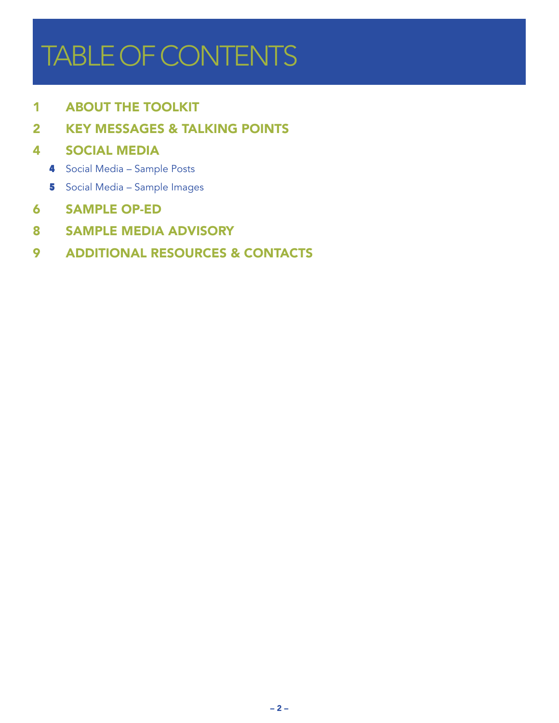# TABLE OF CONTENTS

ABOUT THE TOOLKI[T](#page-3-0)

[KEY MESSAGES & TALKING POINTS](#page-3-0)

#### SOCIAL MEDIA

- Social Media Sample Posts
- Social Media Sample Images
- SAMPLE OP-ED
- SAMPLE MEDIA ADVISORY

#### ADDITIONAL RESOURCES & CONTACTS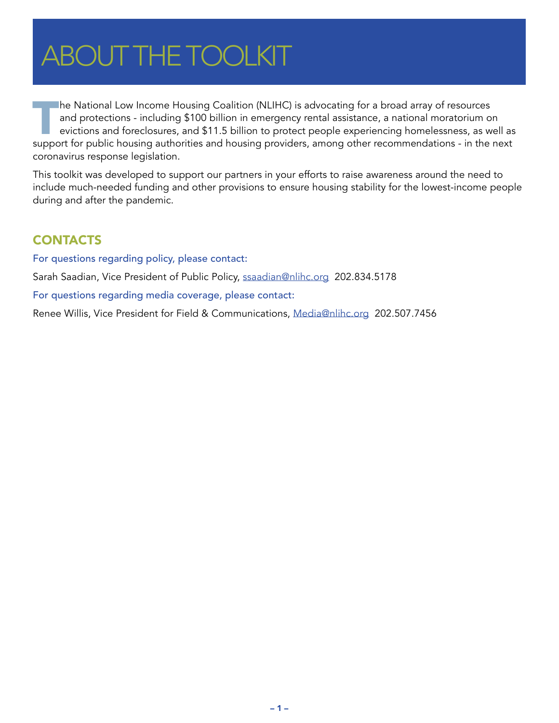# <span id="page-2-0"></span>**ABOUT THE TOOLKIT**

The National Low Income Housing Coalition (NLIHC) is advocating for a broad array of resources and protections - including \$100 billion in emergency rental assistance, a national moratorium on evictions and foreclosures, and \$11.5 billion to protect people experiencing homelessness, as well as support for public housing authorities and housing providers, among other recommendations - in the next coronavirus response legislation.

This toolkit was developed to support our partners in your efforts to raise awareness around the need to include much-needed funding and other provisions to ensure housing stability for the lowest-income people during and after the pandemic.

#### **CONTACTS**

For questions regarding policy, please contact:

Sarah Saadian, Vice President of Public Policy, ssaadian@nlihc.org 202.834.5178

For questions regarding media coverage, please contact:

Renee Willis, Vice President for Field & Communications, Media@nlihc.org 202.507.7456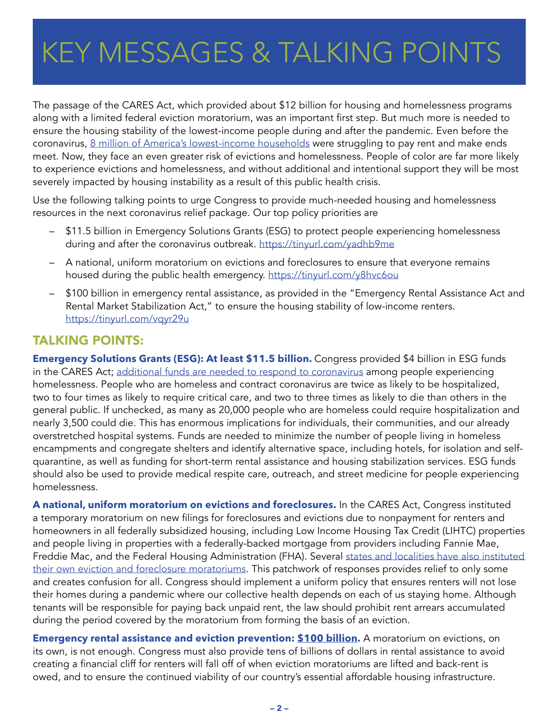# <span id="page-3-0"></span>KEY MESSAGES & TALKING POINTS

The passage of the CARES Act, which provided about \$12 billion for housing and homelessness programs along with a limited federal eviction moratorium, was an important first step. But much more is needed to ensure the housing stability of the lowest-income people during and after the pandemic. Even before the coronavirus, [8 million of America's lowest-income households](https://reports.nlihc.org/gap) were struggling to pay rent and make ends meet. Now, they face an even greater risk of evictions and homelessness. People of color are far more likely to experience evictions and homelessness, and without additional and intentional support they will be most severely impacted by housing instability as a result of this public health crisis.

Use the following talking points to urge Congress to provide much-needed housing and homelessness resources in the next coronavirus relief package. Our top policy priorities are

- \$11.5 billion in Emergency Solutions Grants (ESG) to protect people experiencing homelessness during and after the coronavirus outbreak.<https://tinyurl.com/yadhb9me>
- A national, uniform moratorium on evictions and foreclosures to ensure that everyone remains housed during the public health emergency. <https://tinyurl.com/y8hvc6ou>
- \$100 billion in emergency rental assistance, as provided in the "Emergency Rental Assistance Act and Rental Market Stabilization Act," to ensure the housing stability of low-income renters. <https://tinyurl.com/vqyr29u>

#### TALKING POINTS:

**Emergency Solutions Grants (ESG): At least \$11.5 billion.** Congress provided \$4 billion in ESG funds in the CARES Act; [additional funds are needed to respond to coronavirus](https://nlihc.org/sites/default/files/COVID-paper-Culhane-et-al-final-word.pdf) among people experiencing homelessness. People who are homeless and contract coronavirus are twice as likely to be hospitalized, two to four times as likely to require critical care, and two to three times as likely to die than others in the general public. If unchecked, as many as 20,000 people who are homeless could require hospitalization and nearly 3,500 could die. This has enormous implications for individuals, their communities, and our already overstretched hospital systems. Funds are needed to minimize the number of people living in homeless encampments and congregate shelters and identify alternative space, including hotels, for isolation and selfquarantine, as well as funding for short-term rental assistance and housing stabilization services. ESG funds should also be used to provide medical respite care, outreach, and street medicine for people experiencing homelessness.

**A national, uniform moratorium on evictions and foreclosures.** In the CARES Act, Congress instituted a temporary moratorium on new filings for foreclosures and evictions due to nonpayment for renters and homeowners in all federally subsidized housing, including Low Income Housing Tax Credit (LIHTC) properties and people living in properties with a federally-backed mortgage from providers including Fannie Mae, Freddie Mac, and the Federal Housing Administration (FHA). Several [states and localities have also instituted](https://nlihc.org/eviction-and-foreclosure-moratoriums)  [their own eviction and foreclosure moratoriums](https://nlihc.org/eviction-and-foreclosure-moratoriums). This patchwork of responses provides relief to only some and creates confusion for all. Congress should implement a uniform policy that ensures renters will not lose their homes during a pandemic where our collective health depends on each of us staying home. Although tenants will be responsible for paying back unpaid rent, the law should prohibit rent arrears accumulated during the period covered by the moratorium from forming the basis of an eviction.

**Emergency rental assistance and eviction prevention: [\\$100 billion.](https://nlihc.org/sites/default/files/Need-for-Rental-Assistance-During-the-COVID-19-and-Economic-Crisis.pdf)** A moratorium on evictions, on its own, is not enough. Congress must also provide tens of billions of dollars in rental assistance to avoid creating a financial cliff for renters will fall off of when eviction moratoriums are lifted and back-rent is owed, and to ensure the continued viability of our country's essential affordable housing infrastructure.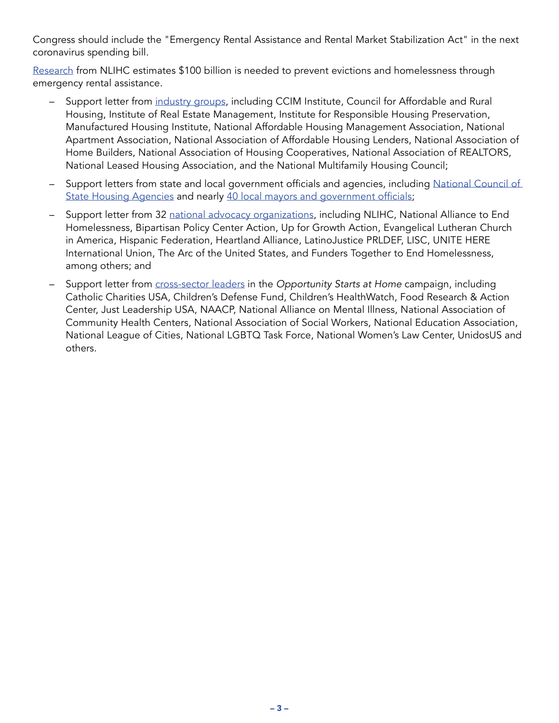Congress should include the "Emergency Rental Assistance and Rental Market Stabilization Act" in the next coronavirus spending bill.

[Research](https://nlihc.org/sites/default/files/Need-for-Rental-Assistance-During-the-COVID-19-and-Economic-Crisis.pdf) from NLIHC estimates \$100 billion is needed to prevent evictions and homelessness through emergency rental assistance.

- Support letter from [industry groups](https://nlihc.org/sites/default/files/040720_FINAL_Real-Estate-Letter.pdf), including CCIM Institute, Council for Affordable and Rural Housing, Institute of Real Estate Management, Institute for Responsible Housing Preservation, Manufactured Housing Institute, National Affordable Housing Management Association, National Apartment Association, National Association of Affordable Housing Lenders, National Association of Home Builders, National Association of Housing Cooperatives, National Association of REALTORS, National Leased Housing Association, and the National Multifamily Housing Council;
- Support letters from state and local government officials and agencies, including [National Council of](https://www.ncsha.org/resource/state-housing-finance-agency-federal-policy-priorities-in-response-to-covid-19_/)  [State Housing Agencies](https://www.ncsha.org/resource/state-housing-finance-agency-federal-policy-priorities-in-response-to-covid-19_/) and nearly [40 local mayors and government officials](https://nlihc.org/sites/default/files/MayorsCEOs Request to Congress for Emergency Rental Assistance.pdf);
- Support letter from 32 [national advocacy organizations,](https://nlihc.org/sites/default/files/National-Letter_Coronavirus-and-Homelessness-Housing_03192020.pdf) including NLIHC, National Alliance to End Homelessness, Bipartisan Policy Center Action, Up for Growth Action, Evangelical Lutheran Church in America, Hispanic Federation, Heartland Alliance, LatinoJustice PRLDEF, LISC, UNITE HERE International Union, The Arc of the United States, and Funders Together to End Homelessness, among others; and
- Support letter from [cross-sector leaders](https://www.opportunityhome.org/wp-content/uploads/2020/04/COVID19-Phase-4-Housing-Needs.pdf) in the *Opportunity Starts at Home* campaign, including Catholic Charities USA, Children's Defense Fund, Children's HealthWatch, Food Research & Action Center, Just Leadership USA, NAACP, National Alliance on Mental Illness, National Association of Community Health Centers, National Association of Social Workers, National Education Association, National League of Cities, National LGBTQ Task Force, National Women's Law Center, UnidosUS and others.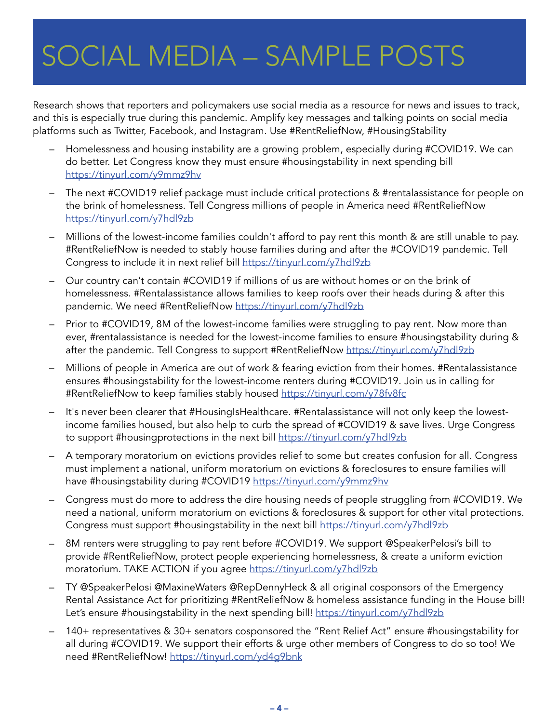# <span id="page-5-0"></span>SOCIAL MEDIA – SAMPLE POSTS

Research shows that reporters and policymakers use social media as a resource for news and issues to track, and this is especially true during this pandemic. Amplify key messages and talking points on social media platforms such as Twitter, Facebook, and Instagram. Use #RentReliefNow, #HousingStability

- Homelessness and housing instability are a growing problem, especially during #COVID19. We can do better. Let Congress know they must ensure #housingstability in next spending bill <https://tinyurl.com/y9mmz9hv>
- The next #COVID19 relief package must include critical protections & #rentalassistance for people on the brink of homelessness. Tell Congress millions of people in America need #RentReliefNow <https://tinyurl.com/y7hdl9zb>
- Millions of the lowest-income families couldn't afford to pay rent this month & are still unable to pay. #RentReliefNow is needed to stably house families during and after the #COVID19 pandemic. Tell Congress to include it in next relief bill <https://tinyurl.com/y7hdl9zb>
- Our country can't contain #COVID19 if millions of us are without homes or on the brink of homelessness. #Rentalassistance allows families to keep roofs over their heads during & after this pandemic. We need #RentReliefNow <https://tinyurl.com/y7hdl9zb>
- Prior to #COVID19, 8M of the lowest-income families were struggling to pay rent. Now more than ever, #rentalassistance is needed for the lowest-income families to ensure #housingstability during & after the pandemic. Tell Congress to support #RentReliefNow<https://tinyurl.com/y7hdl9zb>
- Millions of people in America are out of work & fearing eviction from their homes. #Rentalassistance ensures #housingstability for the lowest-income renters during #COVID19. Join us in calling for #RentReliefNow to keep families stably housed<https://tinyurl.com/y78fv8fc>
- It's never been clearer that #HousingIsHealthcare. #Rentalassistance will not only keep the lowestincome families housed, but also help to curb the spread of #COVID19 & save lives. Urge Congress to support #housingprotections in the next bill<https://tinyurl.com/y7hdl9zb>
- A temporary moratorium on evictions provides relief to some but creates confusion for all. Congress must implement a national, uniform moratorium on evictions & foreclosures to ensure families will have #housingstability during #COVID19<https://tinyurl.com/y9mmz9hv>
- Congress must do more to address the dire housing needs of people struggling from #COVID19. We need a national, uniform moratorium on evictions & foreclosures & support for other vital protections. Congress must support #housingstability in the next bill <https://tinyurl.com/y7hdl9zb>
- 8M renters were struggling to pay rent before #COVID19. We support @SpeakerPelosi's bill to provide #RentReliefNow, protect people experiencing homelessness, & create a uniform eviction moratorium. TAKE ACTION if you agree<https://tinyurl.com/y7hdl9zb>
- TY @SpeakerPelosi @MaxineWaters @RepDennyHeck & all original cosponsors of the Emergency Rental Assistance Act for prioritizing #RentReliefNow & homeless assistance funding in the House bill! Let's ensure #housingstability in the next spending bill! <https://tinyurl.com/y7hdl9zb>
- 140+ representatives & 30+ senators cosponsored the "Rent Relief Act" ensure #housingstability for all during #COVID19. We support their efforts & urge other members of Congress to do so too! We need #RentReliefNow!<https://tinyurl.com/yd4g9bnk>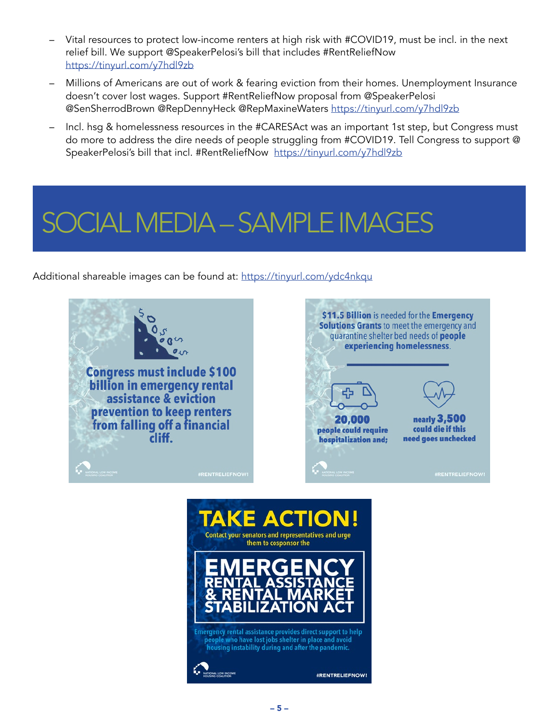- <span id="page-6-0"></span>– Vital resources to protect low-income renters at high risk with #COVID19, must be incl. in the next relief bill. We support @SpeakerPelosi's bill that includes #RentReliefNow <https://tinyurl.com/y7hdl9zb>
- Millions of Americans are out of work & fearing eviction from their homes. Unemployment Insurance doesn't cover lost wages. Support #RentReliefNow proposal from @SpeakerPelosi @SenSherrodBrown @RepDennyHeck @RepMaxineWaters <https://tinyurl.com/y7hdl9zb>
- Incl. hsg & homelessness resources in the #CARESAct was an important 1st step, but Congress must do more to address the dire needs of people struggling from #COVID19. Tell Congress to support @ SpeakerPelosi's bill that incl. #RentReliefNow <https://tinyurl.com/y7hdl9zb>

### CIAL MEDIA – SAMPLE IMAGES

Additional shareable images can be found at:<https://tinyurl.com/ydc4nkqu>



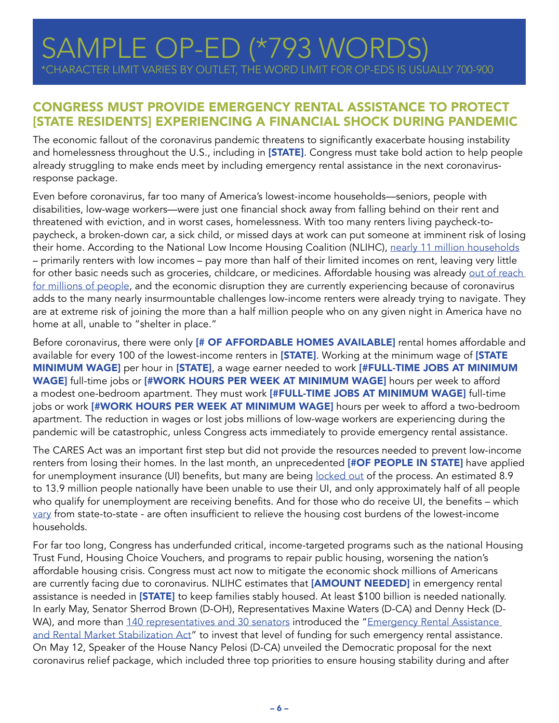#### <span id="page-7-0"></span>CONGRESS MUST PROVIDE EMERGENCY RENTAL ASSISTANCE TO PROTECT [STATE RESIDENTS] EXPERIENCING A FINANCIAL SHOCK DURING PANDEMIC

The economic fallout of the coronavirus pandemic threatens to significantly exacerbate housing instability and homelessness throughout the U.S., including in [STATE]. Congress must take bold action to help people already struggling to make ends meet by including emergency rental assistance in the next coronavirusresponse package.

Even before coronavirus, far too many of America's lowest-income households—seniors, people with disabilities, low-wage workers—were just one financial shock away from falling behind on their rent and threatened with eviction, and in worst cases, homelessness. With too many renters living paycheck-topaycheck, a broken-down car, a sick child, or missed days at work can put someone at imminent risk of losing their home. According to the National Low Income Housing Coalition (NLIHC), [nearly 11 million households](https://reports.nlihc.org/gap) – primarily renters with low incomes – pay more than half of their limited incomes on rent, leaving very little for other basic needs such as groceries, childcare, or medicines. Affordable housing was already out of reach [for millions of people,](https://reports.nlihc.org/sites/default/files/oor/OOR_2019.pdf) and the economic disruption they are currently experiencing because of coronavirus adds to the many nearly insurmountable challenges low-income renters were already trying to navigate. They are at extreme risk of joining the more than a half million people who on any given night in America have no home at all, unable to "shelter in place."

Before coronavirus, there were only [# OF AFFORDABLE HOMES AVAILABLE] rental homes affordable and available for every 100 of the lowest-income renters in [STATE]. Working at the minimum wage of [STATE MINIMUM WAGE] per hour in [STATE], a wage earner needed to work [#FULL-TIME JOBS AT MINIMUM WAGE] full-time jobs or [#WORK HOURS PER WEEK AT MINIMUM WAGE] hours per week to afford a modest one-bedroom apartment. They must work [#FULL-TIME JOBS AT MINIMUM WAGE] full-time jobs or work [#WORK HOURS PER WEEK AT MINIMUM WAGE] hours per week to afford a two-bedroom apartment. The reduction in wages or lost jobs millions of low-wage workers are experiencing during the pandemic will be catastrophic, unless Congress acts immediately to provide emergency rental assistance.

The CARES Act was an important first step but did not provide the resources needed to prevent low-income renters from losing their homes. In the last month, an unprecedented [#OF PEOPLE IN STATE] have applied for unemployment insurance (UI) benefits, but many are being [locked out](https://www.epi.org/blog/unemployment-filing-failures-new-survey-confirms-that-millions-of-jobless-were-unable-to-file-an-unemployment-insurance-claim/) of the process. An estimated 8.9 to 13.9 million people nationally have been unable to use their UI, and only approximately half of all people who qualify for unemployment are receiving benefits. And for those who do receive UI, the benefits – which [vary](https://www.vox.com/2020/4/20/21220931/unemployment-insurance-coronavirus-websites-crashing) from state-to-state - are often insufficient to relieve the housing cost burdens of the lowest-income households.

For far too long, Congress has underfunded critical, income-targeted programs such as the national Housing Trust Fund, Housing Choice Vouchers, and programs to repair public housing, worsening the nation's affordable housing crisis. Congress must act now to mitigate the economic shock millions of Americans are currently facing due to coronavirus. NLIHC estimates that [AMOUNT NEEDED] in emergency rental assistance is needed in [STATE] to keep families stably housed. At least \$100 billion is needed nationally. In early May, Senator Sherrod Brown (D-OH), Representatives Maxine Waters (D-CA) and Denny Heck (D-WA), and more than [140 representatives and 30 senators](https://nlihc.org/emergency-rental-assistance-and-rental-market-stabilization-act?utm_source=NLIHC+All+Subscribers&utm_campaign=0b6486fcbb-CTA_051220&utm_medium=email&utm_term=0_e090383b5e-0b6486fcbb-291742493&ct=t(CTA_051220)) introduced the "Emergency Rental Assistance [and Rental Market Stabilization Act"](https://nlihc.org/sites/default/files/Emergency-Rental-Assistance.pdf?utm_source=NLIHC+All+Subscribers&utm_campaign=2ed4b4f6f4-cta_050420&utm_medium=email&utm_term=0_e090383b5e-2ed4b4f6f4-&ct=t(cta_050420)&utm_source=NLIHC+All+Subscribers&utm_campaign=0b6486fcbb-CTA_051220&utm_medium=email&utm_term=0_e090383b5e-0b6486fcbb-291742493&ct=t(CTA_051220)) to invest that level of funding for such emergency rental assistance. On May 12, Speaker of the House Nancy Pelosi (D-CA) unveiled the Democratic proposal for the next coronavirus relief package, which included three top priorities to ensure housing stability during and after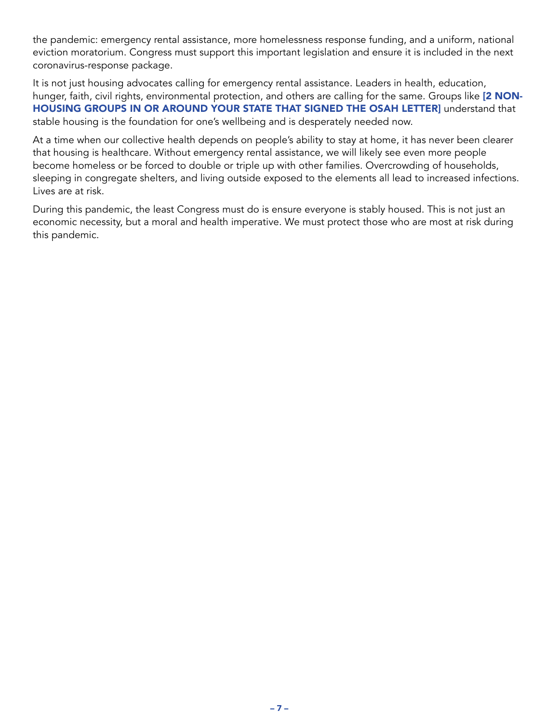the pandemic: emergency rental assistance, more homelessness response funding, and a uniform, national eviction moratorium. Congress must support this important legislation and ensure it is included in the next coronavirus-response package.

It is not just housing advocates calling for emergency rental assistance. Leaders in health, education, hunger, faith, civil rights, environmental protection, and others are calling for the same. Groups like [2 NON-HOUSING GROUPS IN OR AROUND YOUR STATE THAT SIGNED THE OSAH LETTER] understand that stable housing is the foundation for one's wellbeing and is desperately needed now.

At a time when our collective health depends on people's ability to stay at home, it has never been clearer that housing is healthcare. Without emergency rental assistance, we will likely see even more people become homeless or be forced to double or triple up with other families. Overcrowding of households, sleeping in congregate shelters, and living outside exposed to the elements all lead to increased infections. Lives are at risk.

During this pandemic, the least Congress must do is ensure everyone is stably housed. This is not just an economic necessity, but a moral and health imperative. We must protect those who are most at risk during this pandemic.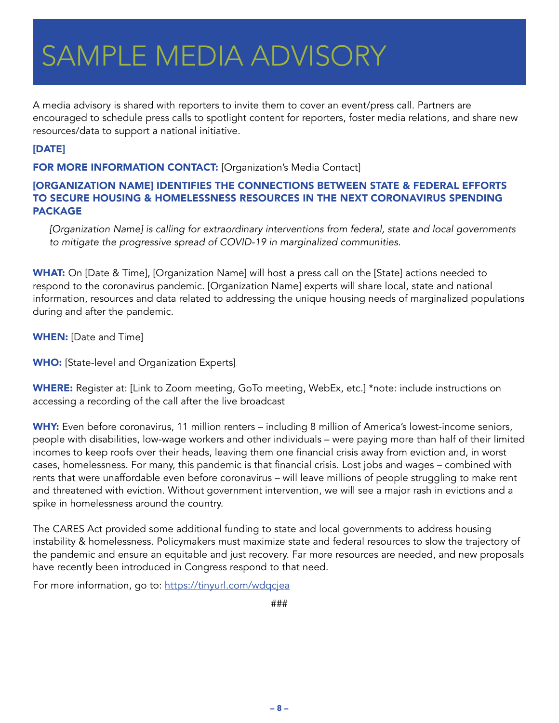# <span id="page-9-0"></span>SAMPLE MEDIA ADVISORY

A media advisory is shared with reporters to invite them to cover an event/press call. Partners are encouraged to schedule press calls to spotlight content for reporters, foster media relations, and share new resources/data to support a national initiative.

#### [DATE]

FOR MORE INFORMATION CONTACT: [Organization's Media Contact]

#### [ORGANIZATION NAME] IDENTIFIES THE CONNECTIONS BETWEEN STATE & FEDERAL EFFORTS TO SECURE HOUSING & HOMELESSNESS RESOURCES IN THE NEXT CORONAVIRUS SPENDING PACKAGE

*[Organization Name] is calling for extraordinary interventions from federal, state and local governments to mitigate the progressive spread of COVID-19 in marginalized communities.* 

WHAT: On [Date & Time], [Organization Name] will host a press call on the [State] actions needed to respond to the coronavirus pandemic. [Organization Name] experts will share local, state and national information, resources and data related to addressing the unique housing needs of marginalized populations during and after the pandemic.

WHEN: [Date and Time]

**WHO:** [State-level and Organization Experts]

WHERE: Register at: [Link to Zoom meeting, GoTo meeting, WebEx, etc.] \*note: include instructions on accessing a recording of the call after the live broadcast

WHY: Even before coronavirus, 11 million renters – including 8 million of America's lowest-income seniors, people with disabilities, low-wage workers and other individuals – were paying more than half of their limited incomes to keep roofs over their heads, leaving them one financial crisis away from eviction and, in worst cases, homelessness. For many, this pandemic is that financial crisis. Lost jobs and wages – combined with rents that were unaffordable even before coronavirus – will leave millions of people struggling to make rent and threatened with eviction. Without government intervention, we will see a major rash in evictions and a spike in homelessness around the country.

The CARES Act provided some additional funding to state and local governments to address housing instability & homelessness. Policymakers must maximize state and federal resources to slow the trajectory of the pandemic and ensure an equitable and just recovery. Far more resources are needed, and new proposals have recently been introduced in Congress respond to that need.

For more information, go to: <https://tinyurl.com/wdqcjea>

###